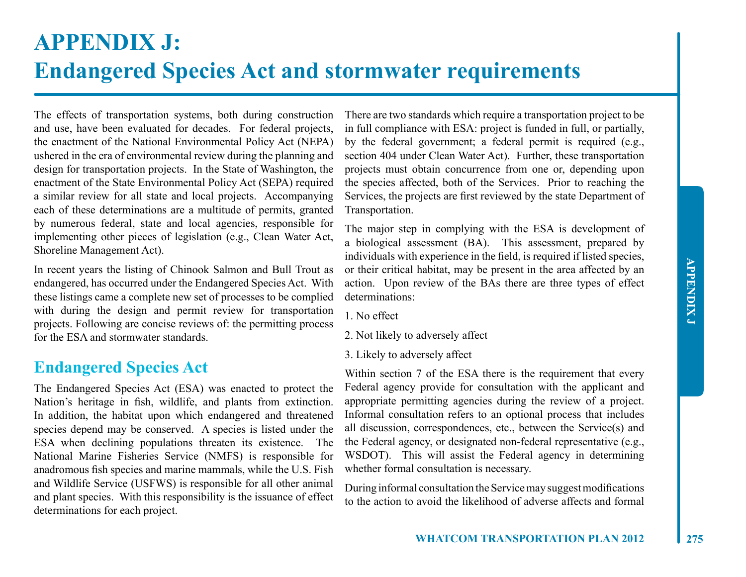## **APPENDIX J: Endangered Species Act and stormwater requirements**

The effects of transportation systems, both during construction and use, have been evaluated for decades. For federal projects, the enactment of the National Environmental Policy Act (NEPA) ushered in the era of environmental review during the planning and design for transportation projects. In the State of Washington, the enactment of the State Environmental Policy Act (SEPA) required a similar review for all state and local projects. Accompanying each of these determinations are a multitude of permits, granted by numerous federal, state and local agencies, responsible for implementing other pieces of legislation (e.g., Clean Water Act, Shoreline Management Act).

In recent years the listing of Chinook Salmon and Bull Trout as endangered, has occurred under the Endangered Species Act. With these listings came a complete new set of processes to be complied with during the design and permit review for transportation projects. Following are concise reviews of: the permitting process for the ESA and stormwater standards.

## **Endangered Species Act**

The Endangered Species Act (ESA) was enacted to protect the Nation's heritage in fish, wildlife, and plants from extinction. In addition, the habitat upon which endangered and threatened species depend may be conserved. A species is listed under the ESA when declining populations threaten its existence. The National Marine Fisheries Service (NMFS) is responsible for anadromous fish species and marine mammals, while the U.S. Fish and Wildlife Service (USFWS) is responsible for all other animal and plant species. With this responsibility is the issuance of effect determinations for each project.

There are two standards which require a transportation project to be in full compliance with ESA: project is funded in full, or partially, by the federal government; a federal permit is required (e.g., section 404 under Clean Water Act). Further, these transportation projects must obtain concurrence from one or, depending upon the species affected, both of the Services. Prior to reaching the Services, the projects are first reviewed by the state Department of Transportation.

The major step in complying with the ESA is development of a biological assessment (BA). This assessment, prepared by individuals with experience in the field, is required if listed species, or their critical habitat, may be present in the area affected by an action. Upon review of the BAs there are three types of effect determinations:

1. No effect

2. Not likely to adversely affect

3. Likely to adversely affect

Within section 7 of the ESA there is the requirement that every Federal agency provide for consultation with the applicant and appropriate permitting agencies during the review of a project. Informal consultation refers to an optional process that includes all discussion, correspondences, etc., between the Service(s) and the Federal agency, or designated non-federal representative (e.g., WSDOT). This will assist the Federal agency in determining whether formal consultation is necessary.

During informal consultation the Service may suggest modifications to the action to avoid the likelihood of adverse affects and formal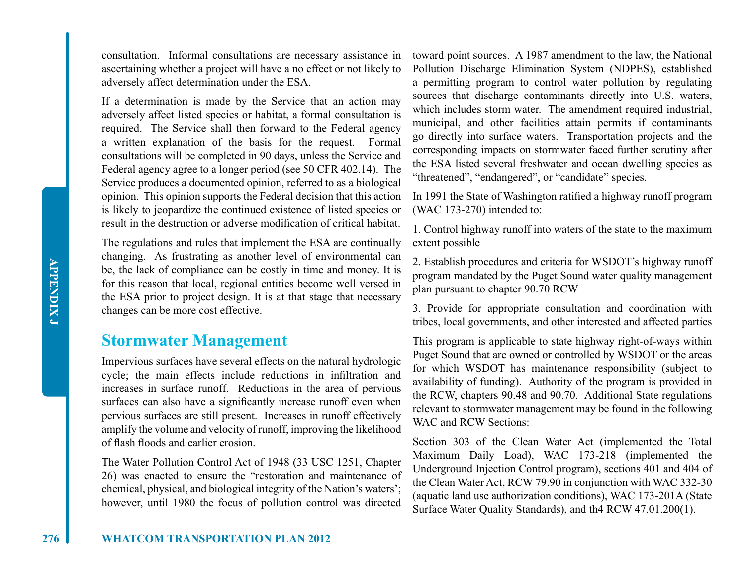consultation. Informal consultations are necessary assistance in ascertaining whether a project will have a no effect or not likely to adversely affect determination under the ESA.

If a determination is made by the Service that an action may adversely affect listed species or habitat, a formal consultation is required. The Service shall then forward to the Federal agency a written explanation of the basis for the request. Formal consultations will be completed in 90 days, unless the Service and Federal agency agree to a longer period (see 50 CFR 402.14). The Service produces a documented opinion, referred to as a biological opinion. This opinion supports the Federal decision that this action is likely to jeopardize the continued existence of listed species or result in the destruction or adverse modification of critical habitat.

The regulations and rules that implement the ESA are continually changing. As frustrating as another level of environmental can be, the lack of compliance can be costly in time and money. It is for this reason that local, regional entities become well versed in the ESA prior to project design. It is at that stage that necessary changes can be more cost effective.

## **Stormwater Management**

Impervious surfaces have several effects on the natural hydrologic cycle; the main effects include reductions in infiltration and increases in surface runoff. Reductions in the area of pervious surfaces can also have a significantly increase runoff even when pervious surfaces are still present. Increases in runoff effectively amplify the volume and velocity of runoff, improving the likelihood of flash floods and earlier erosion.

The Water Pollution Control Act of 1948 (33 USC 1251, Chapter 26) was enacted to ensure the "restoration and maintenance of chemical, physical, and biological integrity of the Nation's waters'; however, until 1980 the focus of pollution control was directed

toward point sources. A 1987 amendment to the law, the National Pollution Discharge Elimination System (NDPES), established a permitting program to control water pollution by regulating sources that discharge contaminants directly into U.S. waters, which includes storm water. The amendment required industrial, municipal, and other facilities attain permits if contaminants go directly into surface waters. Transportation projects and the corresponding impacts on stormwater faced further scrutiny after the ESA listed several freshwater and ocean dwelling species as "threatened", "endangered", or "candidate" species.

In 1991 the State of Washington ratified a highway runoff program (WAC 173-270) intended to:

1. Control highway runoff into waters of the state to the maximum extent possible

2. Establish procedures and criteria for WSDOT's highway runoff program mandated by the Puget Sound water quality management plan pursuant to chapter 90.70 RCW

3. Provide for appropriate consultation and coordination with tribes, local governments, and other interested and affected parties

This program is applicable to state highway right-of-ways within Puget Sound that are owned or controlled by WSDOT or the areas for which WSDOT has maintenance responsibility (subject to availability of funding). Authority of the program is provided in the RCW, chapters 90.48 and 90.70. Additional State regulations relevant to stormwater management may be found in the following WAC and RCW Sections:

Section 303 of the Clean Water Act (implemented the Total Maximum Daily Load), WAC 173-218 (implemented the Underground Injection Control program), sections 401 and 404 of the Clean Water Act, RCW 79.90 in conjunction with WAC 332-30 (aquatic land use authorization conditions), WAC 173-201A (State Surface Water Quality Standards), and th4 RCW 47.01.200(1).